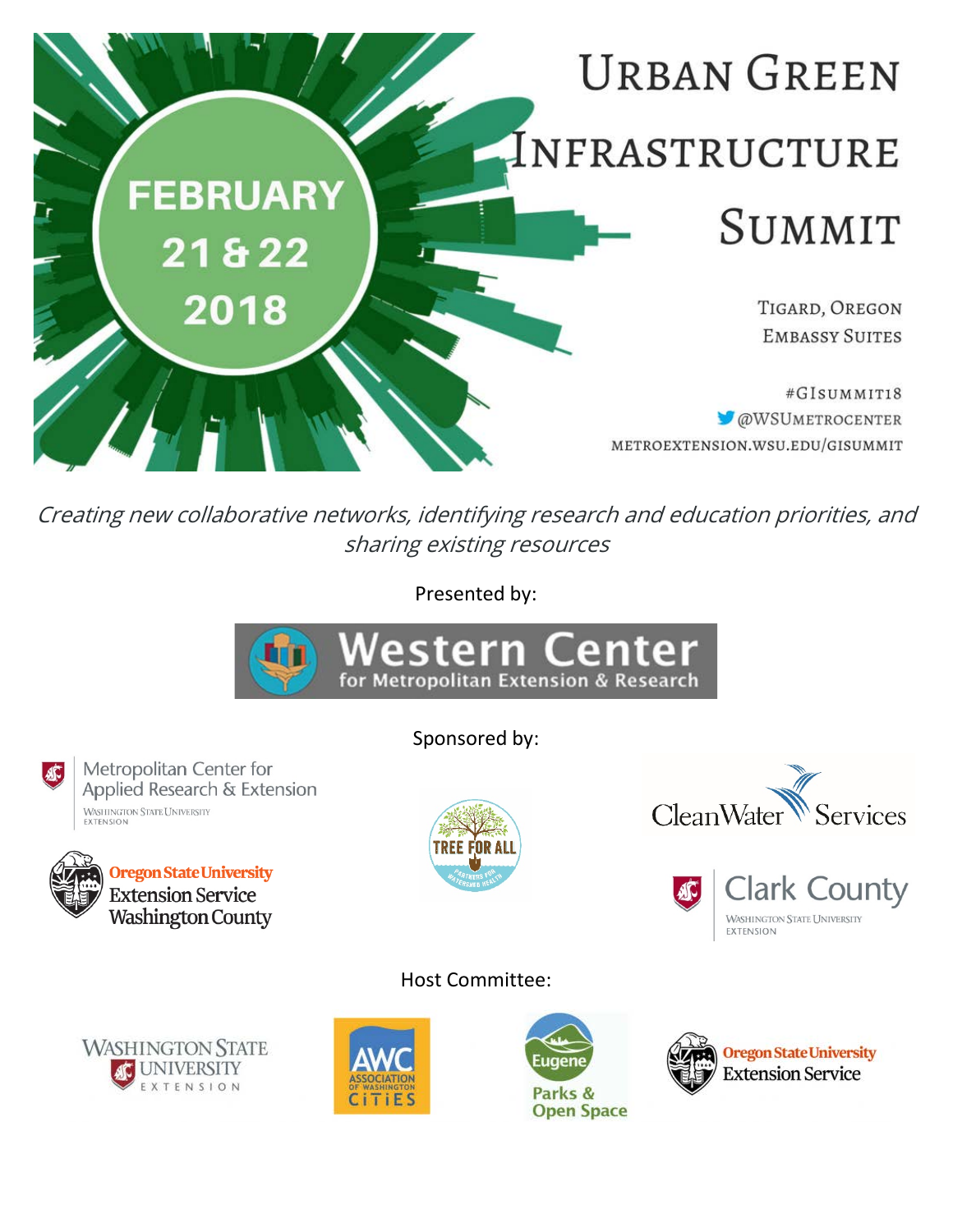

Creating new collaborative networks, identifying research and education priorities, and sharing existing resources

Presented by:



Sponsored by:

Metropolitan Center for Applied Research & Extension WASHINGTON STATE UNIVERSITY<br>EXTENSION





Host Committee:









**EXTENSION** 

CleanWater

AC

Services

**Clark County** 

**WASHINGTON STATE UNIVERSITY**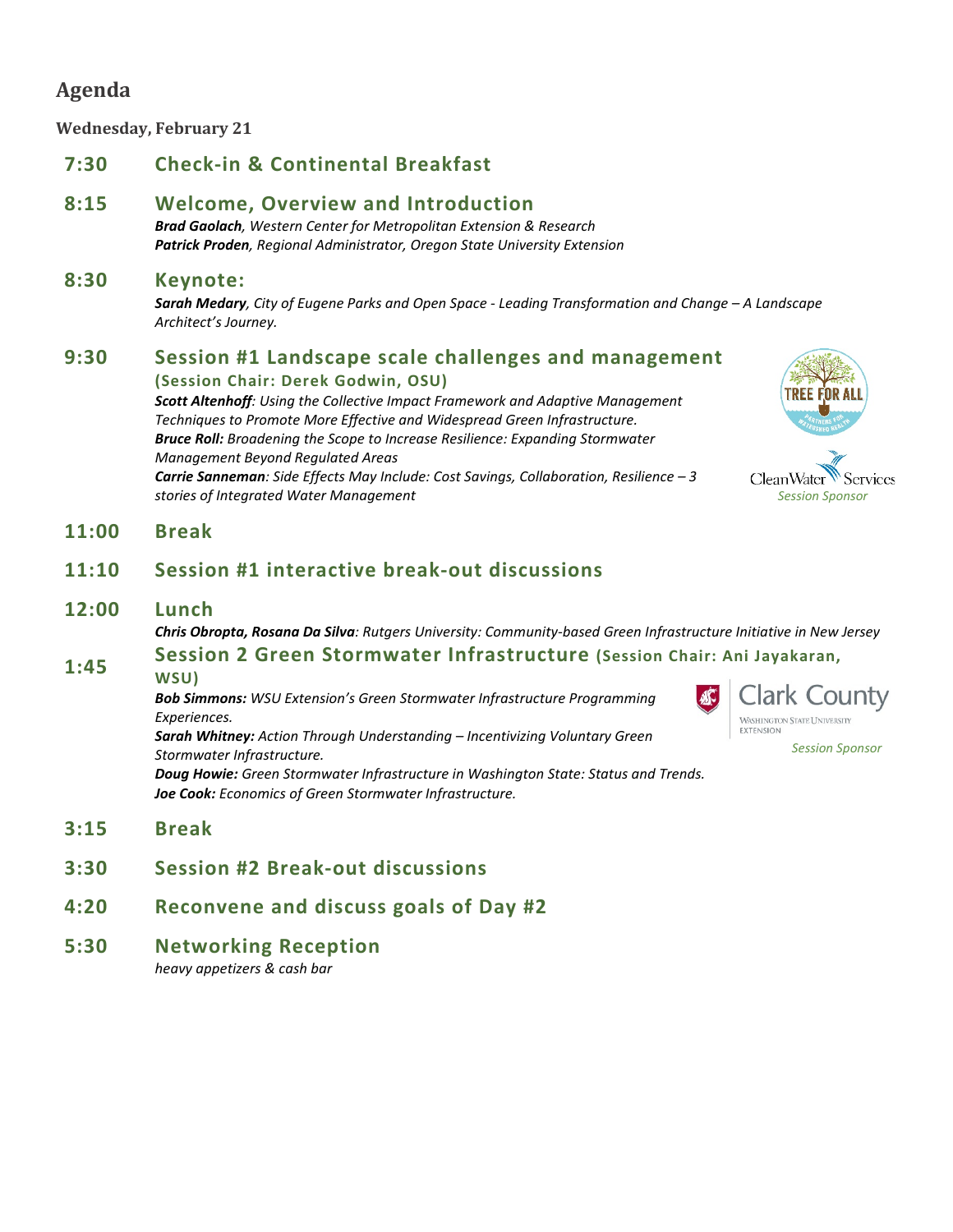# **Agenda**

**Wednesday, February 21**

# **7:30 Check-in & Continental Breakfast**

## **8:15 Welcome, Overview and Introduction**

*Brad Gaolach, Western Center for Metropolitan Extension & Research Patrick Proden, Regional Administrator, Oregon State University Extension*

### **8:30 Keynote:**

*Sarah Medary, City of Eugene Parks and Open Space - Leading Transformation and Change – A Landscape Architect's Journey.*

# **9:30 Session #1 Landscape scale challenges and management**

**(Session Chair: Derek Godwin, OSU)** *Scott Altenhoff: Using the Collective Impact Framework and Adaptive Management Techniques to Promote More Effective and Widespread Green Infrastructure. Bruce Roll: Broadening the Scope to Increase Resilience: Expanding Stormwater Management Beyond Regulated Areas Carrie Sanneman: Side Effects May Include: Cost Savings, Collaboration, Resilience – 3 stories of Integrated Water Management*



**CleanWater** Services *Session Sponsor*

## **11:00 Break**

# **11:10 Session #1 interactive break-out discussions**

#### **12:00 Lunch**

*Chris Obropta, Rosana Da Silva: Rutgers University: Community-based Green Infrastructure Initiative in New Jersey*

# **1:45 Session 2 Green Stormwater Infrastructure (Session Chair: Ani Jayakaran,**

**WSU)**

*Bob Simmons: WSU Extension's Green Stormwater Infrastructure Programming Experiences.*



*Session Sponsor*

*Sarah Whitney: Action Through Understanding – Incentivizing Voluntary Green Stormwater Infrastructure. Doug Howie: Green Stormwater Infrastructure in Washington State: Status and Trends. Joe Cook: Economics of Green Stormwater Infrastructure.*

- **3:15 Break**
- **3:30 Session #2 Break-out discussions**
- **4:20 Reconvene and discuss goals of Day #2**
- **5:30 Networking Reception**

*heavy appetizers & cash bar*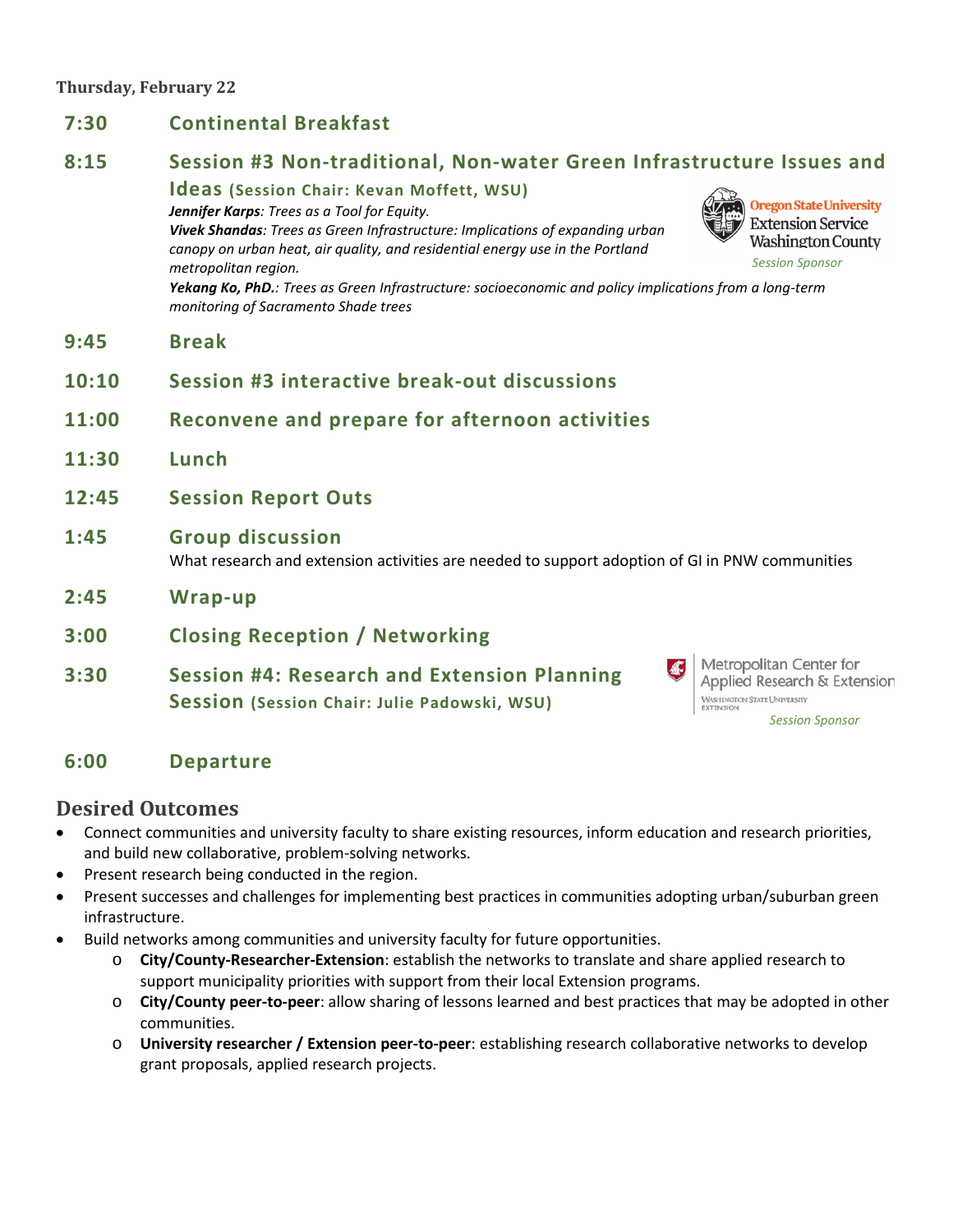#### **Thursday, February 22**

- **7:30 Continental Breakfast 8:15 Session #3 Non-traditional, Non-water Green Infrastructure Issues and Ideas (Session Chair: Kevan Moffett, WSU) Oregon State University** *Jennifer Karps: Trees as a Tool for Equity.* **Extension Service** *Vivek Shandas: Trees as Green Infrastructure: Implications of expanding urban*  **Washington County** *canopy on urban heat, air quality, and residential energy use in the Portland Session Sponsormetropolitan region. Yekang Ko, PhD.: Trees as Green Infrastructure: socioeconomic and policy implications from a long-term monitoring of Sacramento Shade trees* **9:45 Break 10:10 Session #3 interactive break-out discussions 11:00 Reconvene and prepare for afternoon activities 11:30 Lunch 12:45 Session Report Outs 1:45 Group discussion** What research and extension activities are needed to support adoption of GI in PNW communities **2:45 Wrap-up 3:00 Closing Reception / Networking** Metropolitan Center for AF) **3:30 Session #4: Research and Extension Planning** 
	- **Session (Session Chair: Julie Padowski, WSU)**

Applied Research & Extension WASHINGTON STATE UNIVERSITY<br>EXTENSION *Session Sponsor*

# **6:00 Departure**

# **Desired Outcomes**

- Connect communities and university faculty to share existing resources, inform education and research priorities, and build new collaborative, problem-solving networks.
- Present research being conducted in the region.
- Present successes and challenges for implementing best practices in communities adopting urban/suburban green infrastructure.
- Build networks among communities and university faculty for future opportunities.
	- o **City/County-Researcher-Extension**: establish the networks to translate and share applied research to support municipality priorities with support from their local Extension programs.
	- o **City/County peer-to-peer**: allow sharing of lessons learned and best practices that may be adopted in other communities.
	- o **University researcher / Extension peer-to-peer**: establishing research collaborative networks to develop grant proposals, applied research projects.